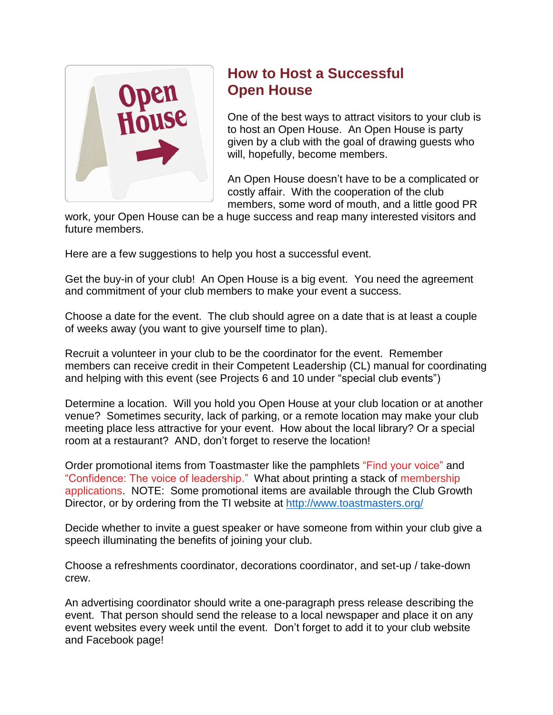

## **How to Host a Successful Open House**

One of the best ways to attract visitors to your club is to host an Open House. An Open House is party given by a club with the goal of drawing guests who will, hopefully, become members.

An Open House doesn't have to be a complicated or costly affair. With the cooperation of the club members, some word of mouth, and a little good PR

work, your Open House can be a huge success and reap many interested visitors and future members.

Here are a few suggestions to help you host a successful event.

Get the buy-in of your club! An Open House is a big event. You need the agreement and commitment of your club members to make your event a success.

Choose a date for the event. The club should agree on a date that is at least a couple of weeks away (you want to give yourself time to plan).

Recruit a volunteer in your club to be the coordinator for the event. Remember members can receive credit in their Competent Leadership (CL) manual for coordinating and helping with this event (see Projects 6 and 10 under "special club events")

Determine a location. Will you hold you Open House at your club location or at another venue? Sometimes security, lack of parking, or a remote location may make your club meeting place less attractive for your event. How about the local library? Or a special room at a restaurant? AND, don't forget to reserve the location!

Order promotional items from Toastmaster like the pamphlets ["Find your voice"](http://www.toastmasters.org/MainMenuCategories/Shop/MarketingToastmasters/BrochuresPamphlets/FINDYOURVOICE841.aspx) and ["Confidence: The voice of leadership."](http://www.toastmasters.org/MainMenuCategories/Shop/MarketingToastmasters/BrochuresPamphlets/CONFIDENCETHEVOICEOFLEADERSHIP2.aspx) What about printing a stack of [membership](http://www.toastmasters.org/MembershipApplications)  [applications.](http://www.toastmasters.org/MembershipApplications) NOTE: Some promotional items are available through the Club Growth Director, or by ordering from the TI website at<http://www.toastmasters.org/>

Decide whether to invite a guest speaker or have someone from within your club give a speech illuminating the benefits of joining your club.

Choose a refreshments coordinator, decorations coordinator, and set-up / take-down crew.

An advertising coordinator should write a one-paragraph press release describing the event. That person should send the release to a local newspaper and place it on any event websites every week until the event. Don't forget to add it to your club website and Facebook page!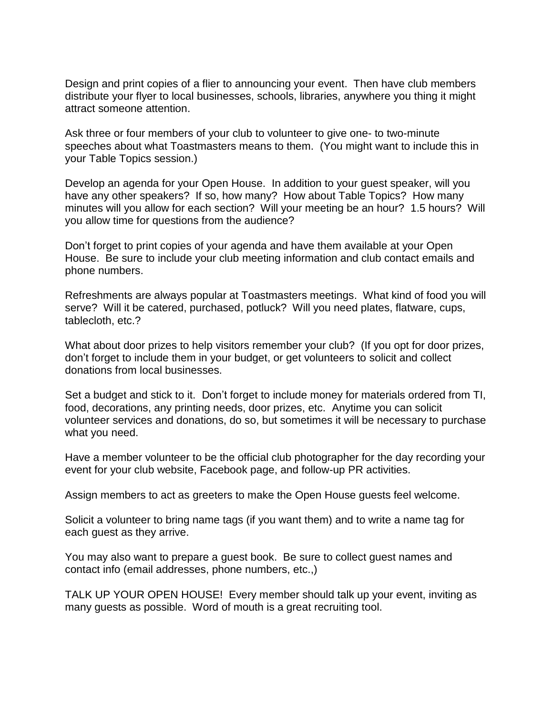Design and print copies of a flier to announcing your event. Then have club members distribute your flyer to local businesses, schools, libraries, anywhere you thing it might attract someone attention.

Ask three or four members of your club to volunteer to give one- to two-minute speeches about what Toastmasters means to them. (You might want to include this in your Table Topics session.)

Develop an agenda for your Open House. In addition to your guest speaker, will you have any other speakers? If so, how many? How about Table Topics? How many minutes will you allow for each section? Will your meeting be an hour? 1.5 hours? Will you allow time for questions from the audience?

Don't forget to print copies of your agenda and have them available at your Open House. Be sure to include your club meeting information and club contact emails and phone numbers.

Refreshments are always popular at Toastmasters meetings. What kind of food you will serve? Will it be catered, purchased, potluck? Will you need plates, flatware, cups, tablecloth, etc.?

What about door prizes to help visitors remember your club? (If you opt for door prizes, don't forget to include them in your budget, or get volunteers to solicit and collect donations from local businesses.

Set a budget and stick to it. Don't forget to include money for materials ordered from TI, food, decorations, any printing needs, door prizes, etc. Anytime you can solicit volunteer services and donations, do so, but sometimes it will be necessary to purchase what you need.

Have a member volunteer to be the official club photographer for the day recording your event for your club website, Facebook page, and follow-up PR activities.

Assign members to act as greeters to make the Open House guests feel welcome.

Solicit a volunteer to bring name tags (if you want them) and to write a name tag for each guest as they arrive.

You may also want to prepare a guest book. Be sure to collect guest names and contact info (email addresses, phone numbers, etc.,)

TALK UP YOUR OPEN HOUSE! Every member should talk up your event, inviting as many guests as possible. Word of mouth is a great recruiting tool.